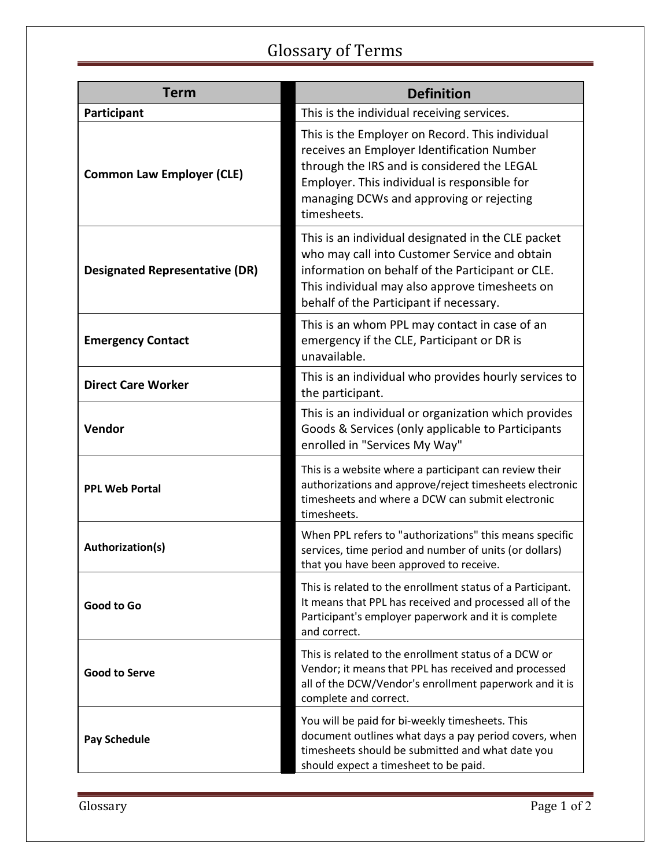## Glossary of Terms

| <b>Term</b>                           | <b>Definition</b>                                                                                                                                                                                                                                       |
|---------------------------------------|---------------------------------------------------------------------------------------------------------------------------------------------------------------------------------------------------------------------------------------------------------|
| Participant                           | This is the individual receiving services.                                                                                                                                                                                                              |
| <b>Common Law Employer (CLE)</b>      | This is the Employer on Record. This individual<br>receives an Employer Identification Number<br>through the IRS and is considered the LEGAL<br>Employer. This individual is responsible for<br>managing DCWs and approving or rejecting<br>timesheets. |
| <b>Designated Representative (DR)</b> | This is an individual designated in the CLE packet<br>who may call into Customer Service and obtain<br>information on behalf of the Participant or CLE.<br>This individual may also approve timesheets on<br>behalf of the Participant if necessary.    |
| <b>Emergency Contact</b>              | This is an whom PPL may contact in case of an<br>emergency if the CLE, Participant or DR is<br>unavailable.                                                                                                                                             |
| <b>Direct Care Worker</b>             | This is an individual who provides hourly services to<br>the participant.                                                                                                                                                                               |
| Vendor                                | This is an individual or organization which provides<br>Goods & Services (only applicable to Participants<br>enrolled in "Services My Way"                                                                                                              |
| <b>PPL Web Portal</b>                 | This is a website where a participant can review their<br>authorizations and approve/reject timesheets electronic<br>timesheets and where a DCW can submit electronic<br>timesheets.                                                                    |
| Authorization(s)                      | When PPL refers to "authorizations" this means specific<br>services, time period and number of units (or dollars)<br>that you have been approved to receive.                                                                                            |
| Good to Go                            | This is related to the enrollment status of a Participant.<br>It means that PPL has received and processed all of the<br>Participant's employer paperwork and it is complete<br>and correct.                                                            |
| <b>Good to Serve</b>                  | This is related to the enrollment status of a DCW or<br>Vendor; it means that PPL has received and processed<br>all of the DCW/Vendor's enrollment paperwork and it is<br>complete and correct.                                                         |
| <b>Pay Schedule</b>                   | You will be paid for bi-weekly timesheets. This<br>document outlines what days a pay period covers, when<br>timesheets should be submitted and what date you<br>should expect a timesheet to be paid.                                                   |